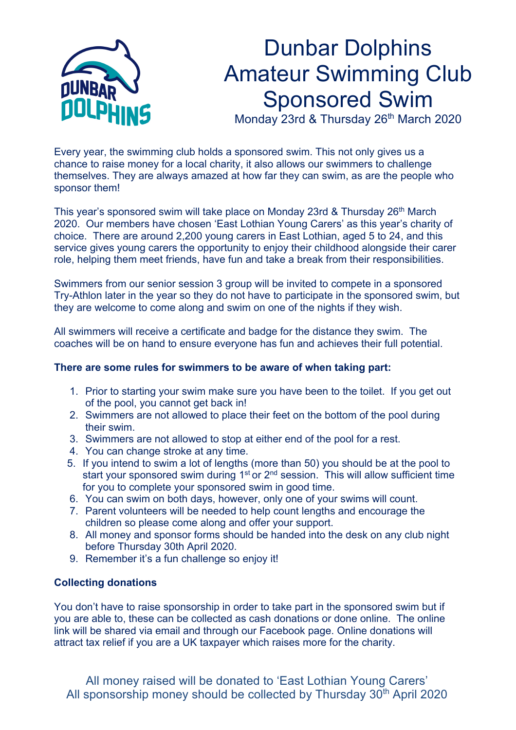

## Dunbar Dolphins Amateur Swimming Club Sponsored Swim

Monday 23rd & Thursday 26<sup>th</sup> March 2020

Every year, the swimming club holds a sponsored swim. This not only gives us a chance to raise money for a local charity, it also allows our swimmers to challenge themselves. They are always amazed at how far they can swim, as are the people who sponsor them!

This year's sponsored swim will take place on Monday 23rd & Thursday 26<sup>th</sup> March 2020. Our members have chosen 'East Lothian Young Carers' as this year's charity of choice. There are around 2,200 young carers in East Lothian, aged 5 to 24, and this service gives young carers the opportunity to enjoy their childhood alongside their carer role, helping them meet friends, have fun and take a break from their responsibilities.

Swimmers from our senior session 3 group will be invited to compete in a sponsored Try-Athlon later in the year so they do not have to participate in the sponsored swim, but they are welcome to come along and swim on one of the nights if they wish.

All swimmers will receive a certificate and badge for the distance they swim. The coaches will be on hand to ensure everyone has fun and achieves their full potential.

## **There are some rules for swimmers to be aware of when taking part:**

- 1. Prior to starting your swim make sure you have been to the toilet. If you get out of the pool, you cannot get back in!
- 2. Swimmers are not allowed to place their feet on the bottom of the pool during their swim.
- 3. Swimmers are not allowed to stop at either end of the pool for a rest.
- 4. You can change stroke at any time.
- 5. If you intend to swim a lot of lengths (more than 50) you should be at the pool to start your sponsored swim during 1<sup>st</sup> or 2<sup>nd</sup> session. This will allow sufficient time for you to complete your sponsored swim in good time.
- 6. You can swim on both days, however, only one of your swims will count.
- 7. Parent volunteers will be needed to help count lengths and encourage the children so please come along and offer your support.
- 8. All money and sponsor forms should be handed into the desk on any club night before Thursday 30th April 2020.
- 9. Remember it's a fun challenge so enjoy it!

## **Collecting donations**

You don't have to raise sponsorship in order to take part in the sponsored swim but if you are able to, these can be collected as cash donations or done online. The online link will be shared via email and through our Facebook page. Online donations will attract tax relief if you are a UK taxpayer which raises more for the charity.

All money raised will be donated to 'East Lothian Young Carers' All sponsorship money should be collected by Thursday 30<sup>th</sup> April 2020